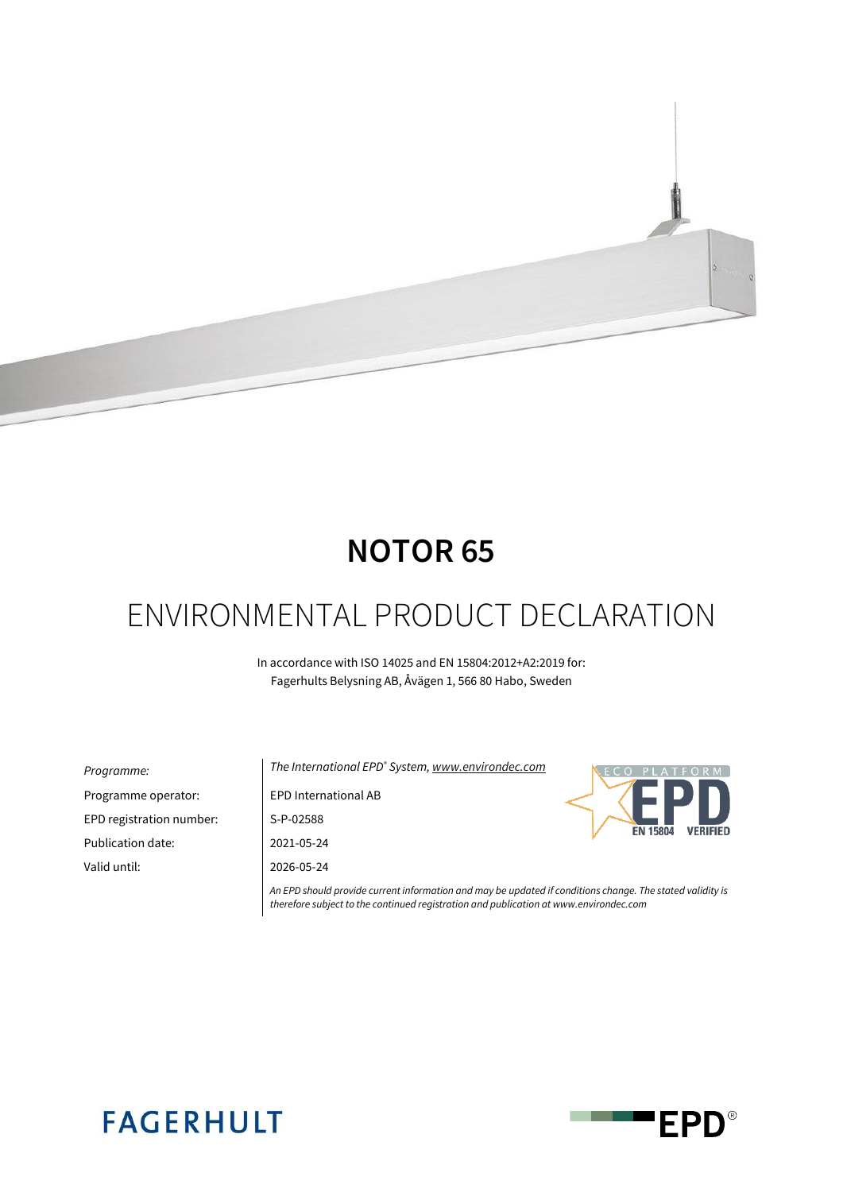

# **NOTOR 65**

# ENVIRONMENTAL PRODUCT DECLARATION

In accordance with ISO 14025 and EN 15804:2012+A2:2019 for: Fagerhults Belysning AB, Åvägen 1, 566 80 Habo, Sweden

| <i>Programme:</i>        |
|--------------------------|
| Programme operator:      |
| EPD registration number: |
| Publication date:        |
| Valid until:             |
|                          |

*Programme: The International EPD® System[, www.environdec.com](http://www.environdec.com/)* EPD International AB S-P-02588 Publication date: 2021-05-24 Valid until: 2026-05-24



*An EPD should provide current information and may be updated if conditions change. The stated validity is therefore subject to the continued registration and publication at www.environdec.com*

# **FAGERHULT**

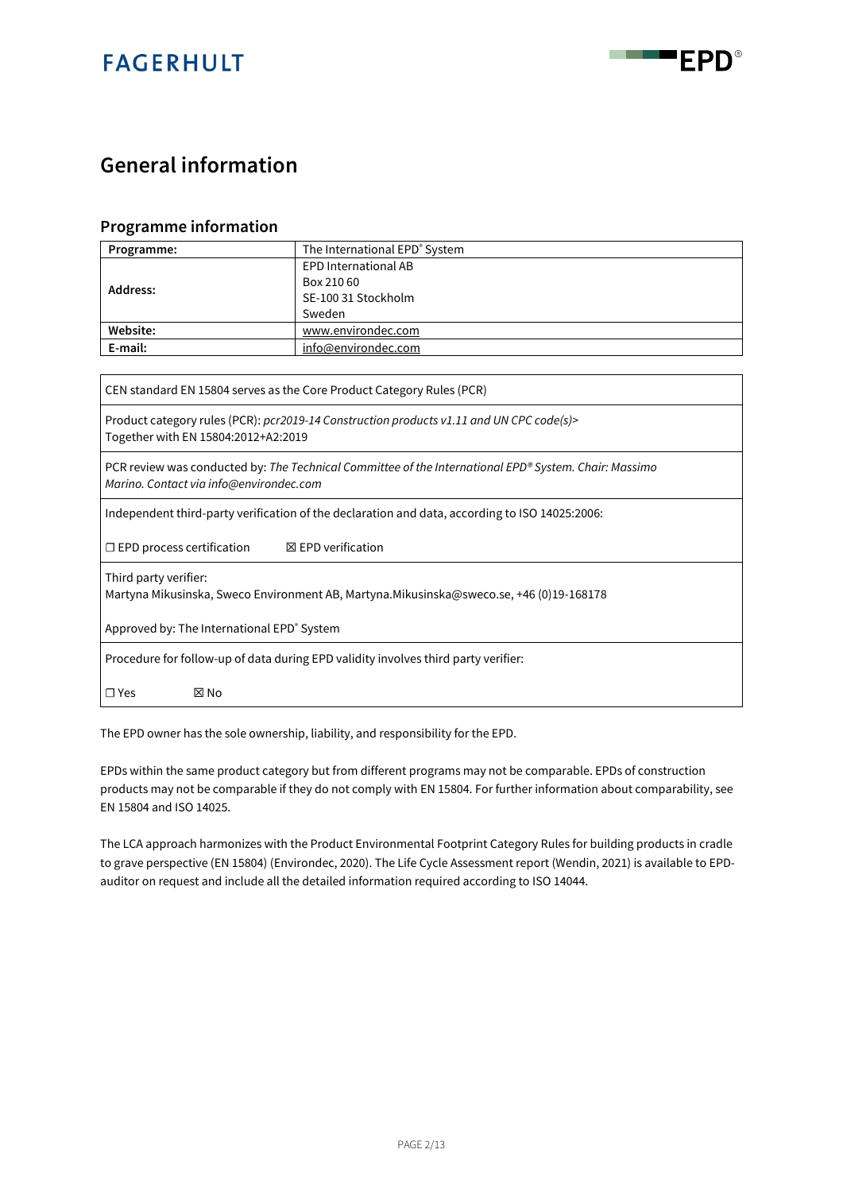



### **General information**

#### **Programme information**

| Programme: | The International EPD® System |  |  |  |  |  |  |
|------------|-------------------------------|--|--|--|--|--|--|
|            | <b>EPD International AB</b>   |  |  |  |  |  |  |
| Address:   | Box 210 60                    |  |  |  |  |  |  |
|            | SE-100 31 Stockholm           |  |  |  |  |  |  |
|            | Sweden                        |  |  |  |  |  |  |
| Website:   | www.environdec.com            |  |  |  |  |  |  |
| E-mail:    | info@environdec.com           |  |  |  |  |  |  |

CEN standard EN 15804 serves as the Core Product Category Rules (PCR)

Product category rules (PCR): *pcr2019-14 Construction products v1.11 and UN CPC code(s)>* Together with EN 15804:2012+A2:2019

PCR review was conducted by: *The Technical Committee of the International EPD® System. Chair: Massimo Marino. Contact via info@environdec.com*

Independent third-party verification of the declaration and data, according to ISO 14025:2006:

☐ EPD process certification ☒ EPD verification

Third party verifier:

Martyna Mikusinska, Sweco Environment AB, Martyna.Mikusinska@sweco.se, +46 (0)19-168178

Approved by: The International EPD<sup>®</sup> System

Procedure for follow-up of data during EPD validity involves third party verifier:

☐ Yes ☒ No

The EPD owner has the sole ownership, liability, and responsibility for the EPD.

EPDs within the same product category but from different programs may not be comparable. EPDs of construction products may not be comparable if they do not comply with EN 15804. For further information about comparability, see EN 15804 and ISO 14025.

The LCA approach harmonizes with the Product Environmental Footprint Category Rules for building products in cradle to grave perspective (EN 15804) (Environdec, 2020). The Life Cycle Assessment report (Wendin, 2021) is available to EPDauditor on request and include all the detailed information required according to ISO 14044.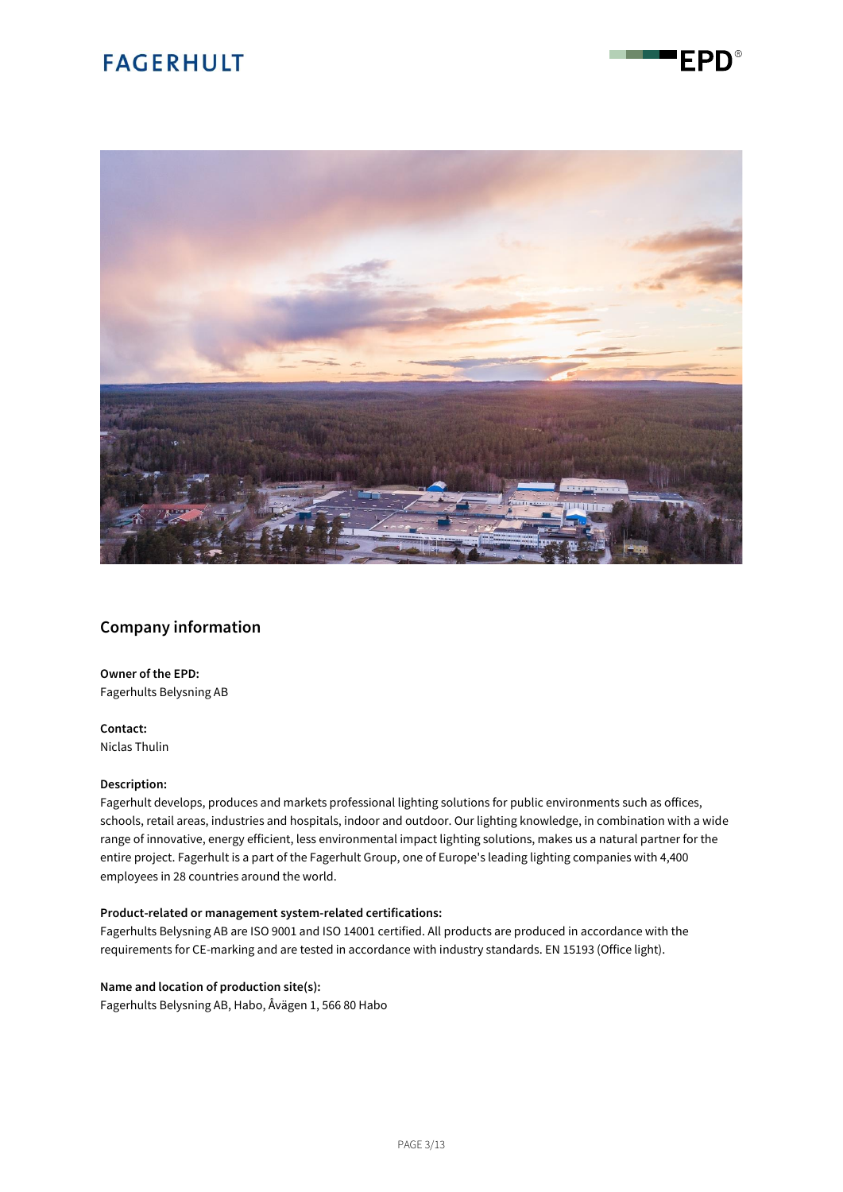

FPD®

#### **Company information**

**Owner of the EPD:** Fagerhults Belysning AB

**Contact:** Niclas Thulin

#### **Description:**

Fagerhult develops, produces and markets professional lighting solutions for public environments such as offices, schools, retail areas, industries and hospitals, indoor and outdoor. Our lighting knowledge, in combination with a wide range of innovative, energy efficient, less environmental impact lighting solutions, makes us a natural partner for the entire project. Fagerhult is a part of the Fagerhult Group, one of Europe's leading lighting companies with 4,400 employees in 28 countries around the world.

#### **Product-related or management system-related certifications:**

Fagerhults Belysning AB are ISO 9001 and ISO 14001 certified. All products are produced in accordance with the requirements for CE-marking and are tested in accordance with industry standards. EN 15193 (Office light).

#### **Name and location of production site(s):**

Fagerhults Belysning AB, Habo, Åvägen 1, 566 80 Habo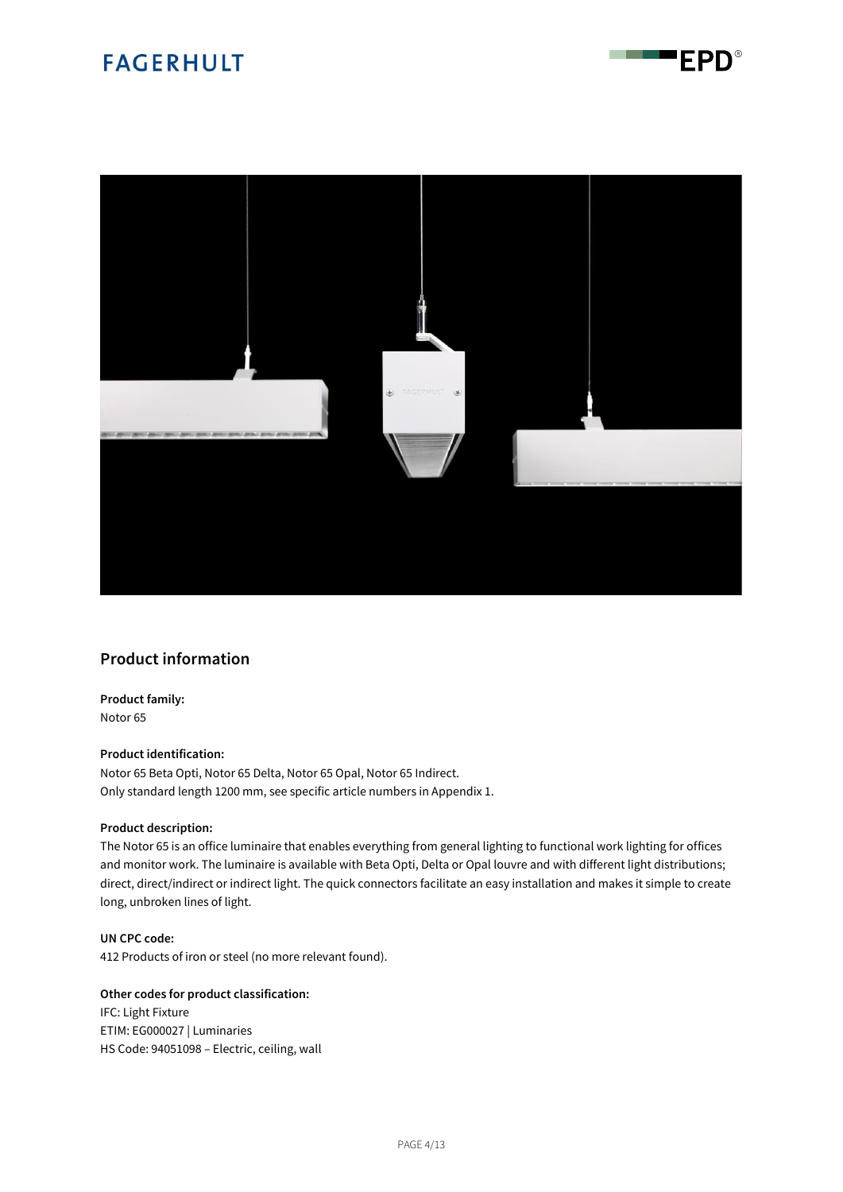



#### **Product information**

**Product family:** Notor 65

#### **Product identification:**

Notor 65 Beta Opti, Notor 65 Delta, Notor 65 Opal, Notor 65 Indirect. Only standard length 1200 mm, see specific article numbers in Appendix 1.

#### **Product description:**

The Notor 65 is an office luminaire that enables everything from general lighting to functional work lighting for offices and monitor work. The luminaire is available with Beta Opti, Delta or Opal louvre and with different light distributions; direct, direct/indirect or indirect light. The quick connectors facilitate an easy installation and makes it simple to create long, unbroken lines of light.

**UN CPC code:** 412 Products of iron or steel (no more relevant found).

#### **Other codes for product classification:**

IFC: Light Fixture ETIM: EG000027 | Luminaries HS Code: 94051098 – Electric, ceiling, wall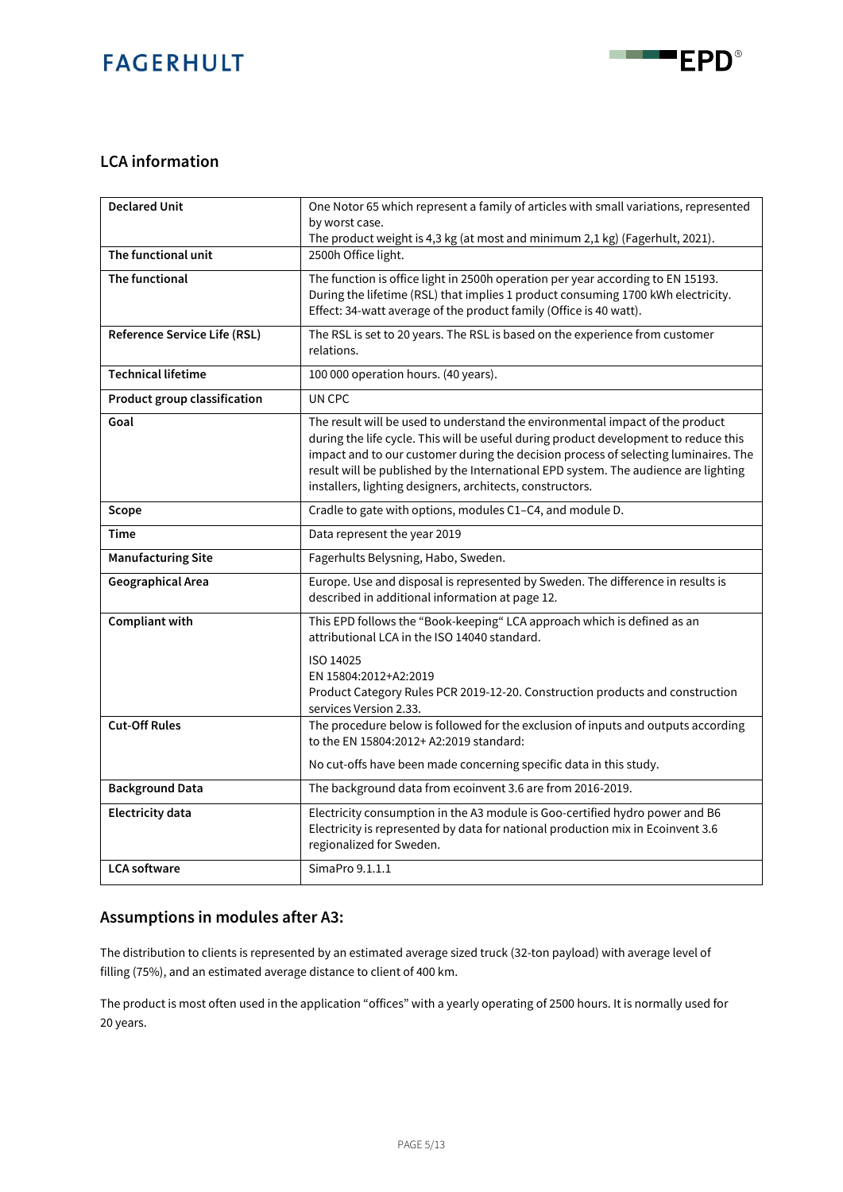

#### **LCA information**

| <b>Declared Unit</b>         | One Notor 65 which represent a family of articles with small variations, represented<br>by worst case.                                                                                                                                                                                                                                                                                                           |
|------------------------------|------------------------------------------------------------------------------------------------------------------------------------------------------------------------------------------------------------------------------------------------------------------------------------------------------------------------------------------------------------------------------------------------------------------|
|                              | The product weight is 4,3 kg (at most and minimum 2,1 kg) (Fagerhult, 2021).                                                                                                                                                                                                                                                                                                                                     |
| The functional unit          | 2500h Office light.                                                                                                                                                                                                                                                                                                                                                                                              |
| The functional               | The function is office light in 2500h operation per year according to EN 15193.<br>During the lifetime (RSL) that implies 1 product consuming 1700 kWh electricity.<br>Effect: 34-watt average of the product family (Office is 40 watt).                                                                                                                                                                        |
| Reference Service Life (RSL) | The RSL is set to 20 years. The RSL is based on the experience from customer<br>relations.                                                                                                                                                                                                                                                                                                                       |
| <b>Technical lifetime</b>    | 100 000 operation hours. (40 years).                                                                                                                                                                                                                                                                                                                                                                             |
| Product group classification | UN CPC                                                                                                                                                                                                                                                                                                                                                                                                           |
| Goal                         | The result will be used to understand the environmental impact of the product<br>during the life cycle. This will be useful during product development to reduce this<br>impact and to our customer during the decision process of selecting luminaires. The<br>result will be published by the International EPD system. The audience are lighting<br>installers, lighting designers, architects, constructors. |
| Scope                        | Cradle to gate with options, modules C1-C4, and module D.                                                                                                                                                                                                                                                                                                                                                        |
| <b>Time</b>                  | Data represent the year 2019                                                                                                                                                                                                                                                                                                                                                                                     |
| <b>Manufacturing Site</b>    | Fagerhults Belysning, Habo, Sweden.                                                                                                                                                                                                                                                                                                                                                                              |
| Geographical Area            | Europe. Use and disposal is represented by Sweden. The difference in results is<br>described in additional information at page 12.                                                                                                                                                                                                                                                                               |
| Compliant with               | This EPD follows the "Book-keeping" LCA approach which is defined as an<br>attributional LCA in the ISO 14040 standard.<br>ISO 14025<br>EN 15804:2012+A2:2019<br>Product Category Rules PCR 2019-12-20. Construction products and construction<br>services Version 2.33.                                                                                                                                         |
| <b>Cut-Off Rules</b>         | The procedure below is followed for the exclusion of inputs and outputs according<br>to the EN 15804:2012+ A2:2019 standard:<br>No cut-offs have been made concerning specific data in this study.                                                                                                                                                                                                               |
| <b>Background Data</b>       | The background data from ecoinvent 3.6 are from 2016-2019.                                                                                                                                                                                                                                                                                                                                                       |
| <b>Electricity data</b>      | Electricity consumption in the A3 module is Goo-certified hydro power and B6<br>Electricity is represented by data for national production mix in Ecoinvent 3.6<br>regionalized for Sweden.                                                                                                                                                                                                                      |
| <b>LCA</b> software          | SimaPro 9.1.1.1                                                                                                                                                                                                                                                                                                                                                                                                  |

#### **Assumptions in modules after A3:**

The distribution to clients is represented by an estimated average sized truck (32-ton payload) with average level of filling (75%), and an estimated average distance to client of 400 km.

The product is most often used in the application "offices" with a yearly operating of 2500 hours. It is normally used for 20 years.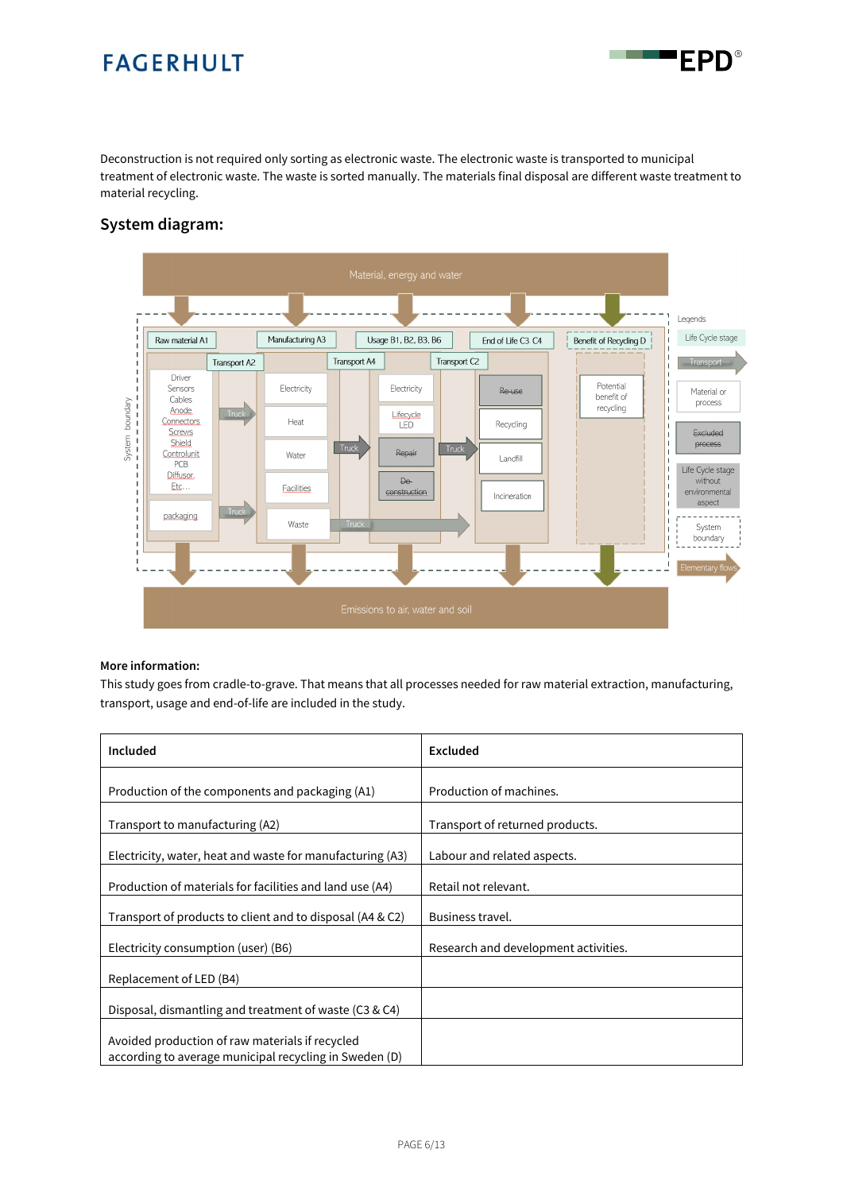Deconstruction is not required only sorting as electronic waste. The electronic waste is transported to municipal treatment of electronic waste. The waste is sorted manually. The materials final disposal are different waste treatment to material recycling.

 $\blacksquare$ 

'FPD®

#### **System diagram:**



#### **More information:**

This study goes from cradle-to-grave. That means that all processes needed for raw material extraction, manufacturing, transport, usage and end-of-life are included in the study.

| Included                                                                                                  | Excluded                             |
|-----------------------------------------------------------------------------------------------------------|--------------------------------------|
| Production of the components and packaging (A1)                                                           | Production of machines.              |
| Transport to manufacturing (A2)                                                                           | Transport of returned products.      |
| Electricity, water, heat and waste for manufacturing (A3)                                                 | Labour and related aspects.          |
| Production of materials for facilities and land use (A4)                                                  | Retail not relevant.                 |
| Transport of products to client and to disposal (A4 & C2)                                                 | Business travel.                     |
| Electricity consumption (user) (B6)                                                                       | Research and development activities. |
| Replacement of LED (B4)                                                                                   |                                      |
| Disposal, dismantling and treatment of waste (C3 & C4)                                                    |                                      |
| Avoided production of raw materials if recycled<br>according to average municipal recycling in Sweden (D) |                                      |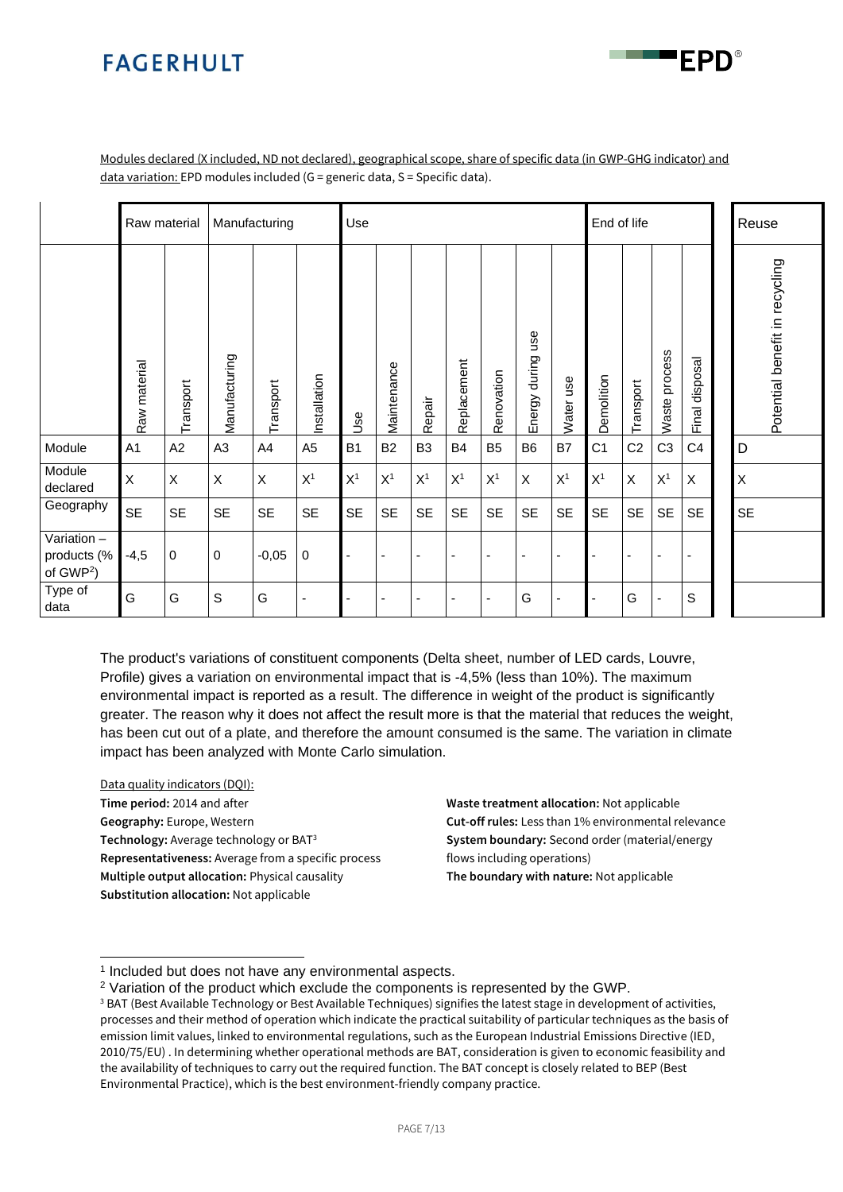

Modules declared (X included, ND not declared), geographical scope, share of specific data (in GWP-GHG indicator) and data variation: EPD modules included (G = generic data, S = Specific data).

|                                                     |                | Raw material |                | Manufacturing |                | Use            | End of life              |                          |                          |                |                         |                |                |                |                | Reuse             |                                |
|-----------------------------------------------------|----------------|--------------|----------------|---------------|----------------|----------------|--------------------------|--------------------------|--------------------------|----------------|-------------------------|----------------|----------------|----------------|----------------|-------------------|--------------------------------|
|                                                     | Raw material   | Transport    | Manufacturing  | Transport     | Installation   | Use            | Maintenance              | Repair                   | Replacement              | Renovation     | use<br>during<br>Energy | Water use      | Demolition     | Transport      | Waste process  | disposal<br>Final | Potential benefit in recycling |
| Module                                              | A <sub>1</sub> | A2           | A <sub>3</sub> | A4            | A <sub>5</sub> | B <sub>1</sub> | <b>B2</b>                | B <sub>3</sub>           | <b>B4</b>                | B <sub>5</sub> | B <sub>6</sub>          | B7             | C <sub>1</sub> | C <sub>2</sub> | C <sub>3</sub> | C <sub>4</sub>    | D                              |
| Module<br>declared                                  | X              | X            | X              | X             | X <sup>1</sup> | X <sup>1</sup> | X <sup>1</sup>           | X <sup>1</sup>           | X <sup>1</sup>           | X <sup>1</sup> | X                       | X <sup>1</sup> | X <sup>1</sup> | X              | X <sup>1</sup> | X                 | $\times$                       |
| Geography                                           | <b>SE</b>      | <b>SE</b>    | <b>SE</b>      | <b>SE</b>     | <b>SE</b>      | <b>SE</b>      | <b>SE</b>                | <b>SE</b>                | <b>SE</b>                | <b>SE</b>      | <b>SE</b>               | <b>SE</b>      | <b>SE</b>      | <b>SE</b>      | <b>SE</b>      | <b>SE</b>         | <b>SE</b>                      |
| Variation -<br>products (%<br>of GWP <sup>2</sup> ) | $-4,5$         | $\mathbf 0$  | $\mathbf 0$    | $-0,05$       | $\mathbf 0$    | $\blacksquare$ | $\overline{\phantom{a}}$ | $\overline{\phantom{a}}$ | $\overline{\phantom{a}}$ |                | ٠                       | $\blacksquare$ |                | $\blacksquare$ | ٠              |                   |                                |
| Type of<br>data                                     | G              | G            | S              | G             | ٠              |                |                          |                          |                          |                | G                       | $\overline{a}$ |                | G              | ٠              | S                 |                                |

<span id="page-6-0"></span>The product's variations of constituent components (Delta sheet, number of LED cards, Louvre, Profile) gives a variation on environmental impact that is -4,5% (less than 10%). The maximum environmental impact is reported as a result. The difference in weight of the product is significantly greater. The reason why it does not affect the result more is that the material that reduces the weight, has been cut out of a plate, and therefore the amount consumed is the same. The variation in climate impact has been analyzed with Monte Carlo simulation.

Data quality indicators (DQI): **Time period:** 2014 and after **Geography:** Europe, Western **Technology:** Average technology or BAT<sup>3</sup> **Representativeness:** Average from a specific process **Multiple output allocation:** Physical causality **Substitution allocation:** Not applicable

**Waste treatment allocation:** Not applicable **Cut-off rules:** Less than 1% environmental relevance **System boundary:** Second order (material/energy flows including operations) **The boundary with nature:** Not applicable

<sup>&</sup>lt;sup>1</sup> Included but does not have any environmental aspects.

<sup>2</sup> Variation of the product which exclude the components is represented by the GWP.

<sup>&</sup>lt;sup>3</sup> BAT (Best Available Technology or Best Available Techniques) signifies the latest stage in development of activities, processes and their method of operation which indicate the practical suitability of particular techniques as the basis of emission limit values, linked to environmental regulations, such as the European Industrial Emissions Directive (IED, 2010/75/EU) . In determining whether operational methods are BAT, consideration is given to economic feasibility and the availability of techniques to carry out the required function. The BAT concept is closely related to BEP (Best Environmental Practice), which is the best environment-friendly company practice.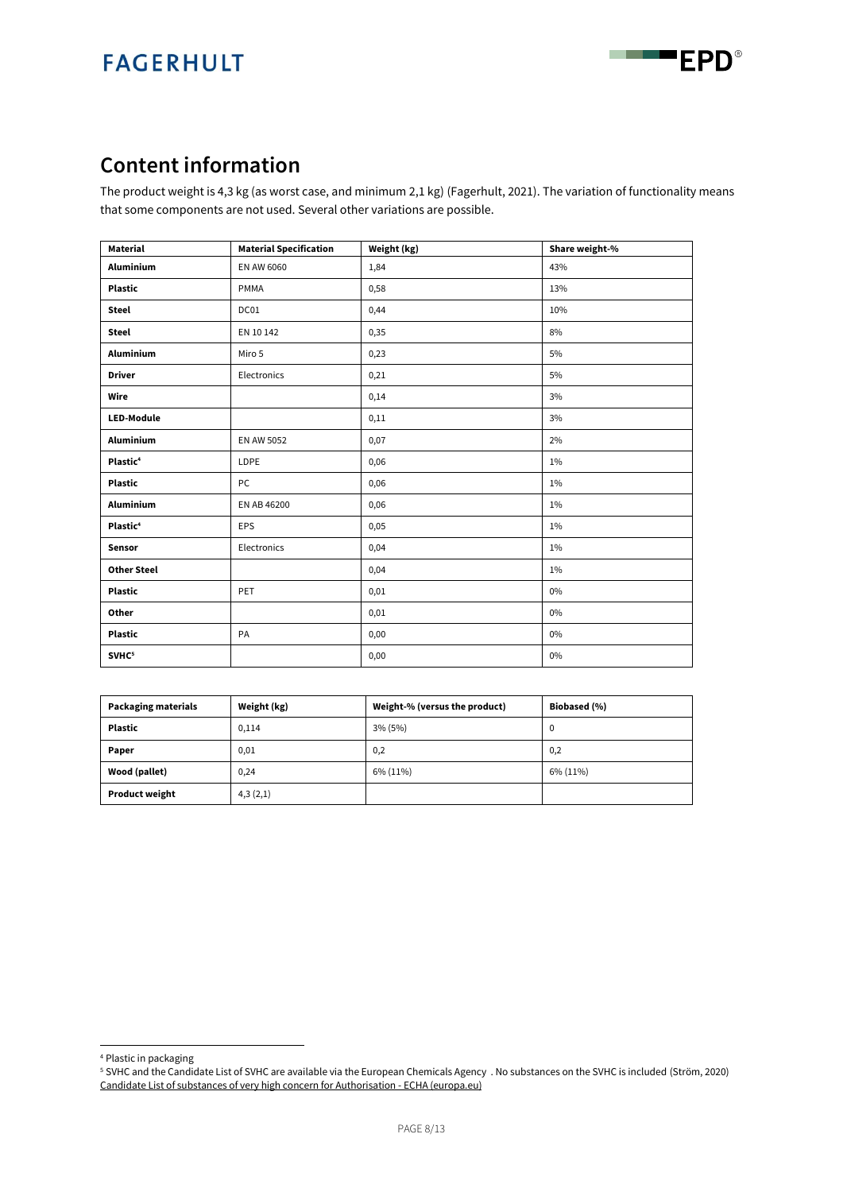```
an a
EPD®
```
### **Content information**

The product weight is 4,3 kg (as worst case, and minimum 2,1 kg) (Fagerhult, 2021). The variation of functionality means that some components are not used. Several other variations are possible.

<span id="page-7-0"></span>

| <b>Material</b>      | <b>Material Specification</b> | Weight (kg) | Share weight-% |
|----------------------|-------------------------------|-------------|----------------|
| Aluminium            | EN AW 6060                    | 1,84        | 43%            |
| <b>Plastic</b>       | PMMA                          | 0,58        | 13%            |
| <b>Steel</b>         | DC01                          | 0,44        | 10%            |
| <b>Steel</b>         | EN 10 142                     | 0,35        | 8%             |
| <b>Aluminium</b>     | Miro 5                        | 0,23        | 5%             |
| <b>Driver</b>        | Electronics                   | 0,21        | 5%             |
| Wire                 |                               | 0,14        | 3%             |
| LED-Module           |                               | 0,11        | 3%             |
| Aluminium            | <b>EN AW 5052</b>             | 0,07        | 2%             |
| Plastic <sup>4</sup> | LDPE                          | 0,06        | 1%             |
| <b>Plastic</b>       | PC                            | 0,06        | 1%             |
| Aluminium            | EN AB 46200                   | 0,06        | 1%             |
| Plastic <sup>4</sup> | <b>EPS</b>                    | 0,05        | 1%             |
| Sensor               | Electronics                   | 0,04        | 1%             |
| <b>Other Steel</b>   |                               | 0,04        | 1%             |
| <b>Plastic</b>       | PET                           | 0,01        | $0\%$          |
| Other                |                               | 0,01        | $0\%$          |
| <b>Plastic</b>       | PA                            | 0,00        | $0\%$          |
| SVHC <sup>5</sup>    |                               | 0,00        | 0%             |

| <b>Packaging materials</b> | Weight (kg) | Weight-% (versus the product) | Biobased (%) |
|----------------------------|-------------|-------------------------------|--------------|
| <b>Plastic</b>             | 0,114       | 3% (5%)                       |              |
| Paper                      | 0,01        | 0,2                           | 0,2          |
| Wood (pallet)              | 0,24        | 6% (11%)                      | 6% (11%)     |
| <b>Product weight</b>      | 4,3(2,1)    |                               |              |

<sup>4</sup> Plastic in packaging

<sup>5</sup> SVHC and the Candidate List of SVHC are available via the European Chemicals Agency . No substances on the SVHC is included (Ström, 2020) [Candidate List of substances of very high concern for Authorisation -](https://echa.europa.eu/web/guest/candidate-list-table) ECHA (europa.eu)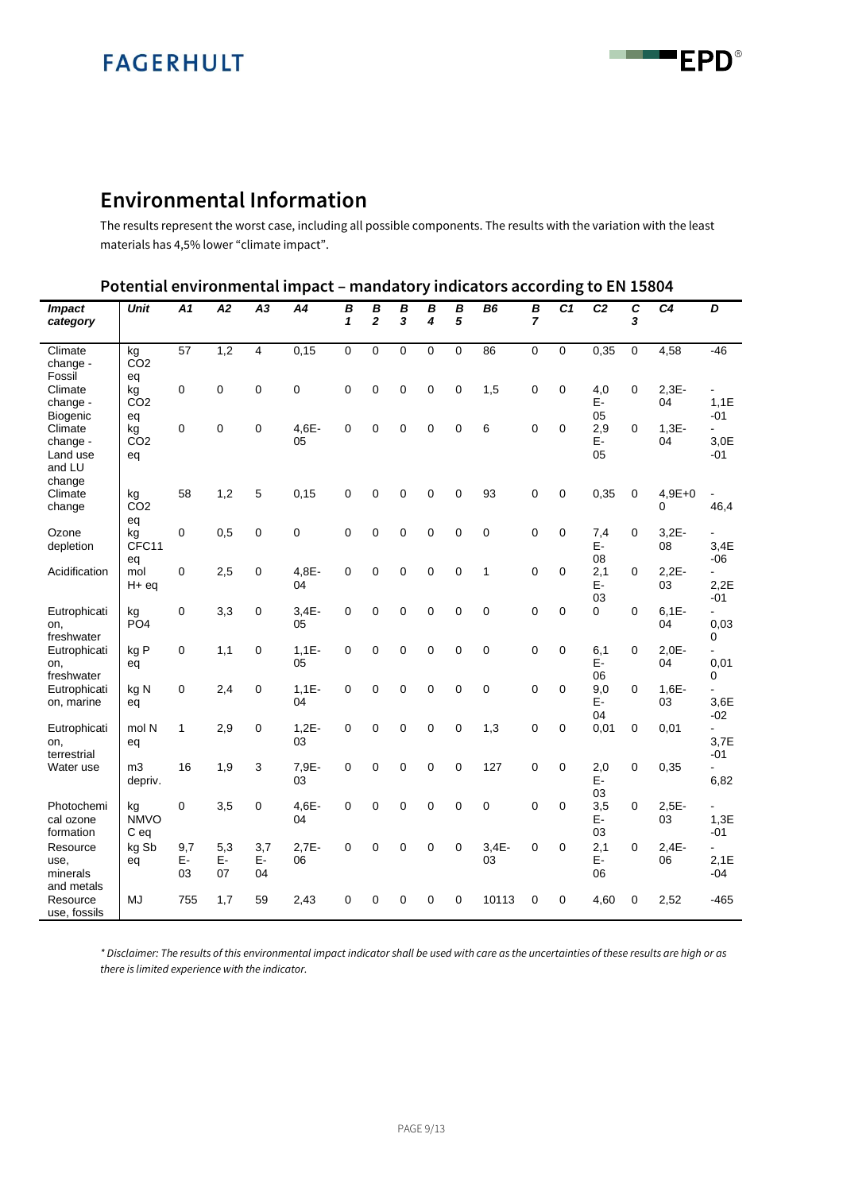**EPD**® an a

### **Environmental Information**

The results represent the worst case, including all possible components. The results with the variation with the least materials has 4,5% lower "climate impact".

| Potential environmental impact - mandatory indicators according to EN 15804 |  |  |  |  |
|-----------------------------------------------------------------------------|--|--|--|--|
|-----------------------------------------------------------------------------|--|--|--|--|

| <b>Impact</b><br>category                 | <b>Unit</b>                 | A1              | A2              | A3              | A <sub>4</sub> | B<br>1       | B<br>$\overline{2}$ | B<br>3 | B<br>4      | B<br>5      | B <sub>6</sub> | $\overline{B}$<br>$\overline{7}$ | C <sub>1</sub> | C <sub>2</sub>  | C<br>3      | C <sub>4</sub> | D                                |
|-------------------------------------------|-----------------------------|-----------------|-----------------|-----------------|----------------|--------------|---------------------|--------|-------------|-------------|----------------|----------------------------------|----------------|-----------------|-------------|----------------|----------------------------------|
| Climate<br>change -<br>Fossil             | kg<br>CO <sub>2</sub><br>eq | 57              | 1,2             | 4               | 0,15           | $\mathbf 0$  | 0                   | 0      | $\mathbf 0$ | $\mathbf 0$ | 86             | 0                                | 0              | 0,35            | 0           | 4,58           | $-46$                            |
| Climate<br>change -<br>Biogenic           | kg<br>CO <sub>2</sub><br>eq | $\mathbf 0$     | $\mathbf 0$     | 0               | $\mathbf 0$    | $\mathbf 0$  | $\mathbf 0$         | 0      | $\mathbf 0$ | $\mathbf 0$ | 1,5            | $\mathbf 0$                      | $\mathbf 0$    | 4,0<br>E-<br>05 | $\mathbf 0$ | $2,3E-$<br>04  | 1,1E<br>$-01$                    |
| Climate<br>change -<br>Land use<br>and LU | kg<br>CO <sub>2</sub><br>eq | $\mathbf 0$     | $\mathbf 0$     | 0               | 4,6E-<br>05    | $\mathbf 0$  | 0                   | 0      | $\mathbf 0$ | $\mathbf 0$ | 6              | 0                                | 0              | 2,9<br>E-<br>05 | 0           | $1,3E-$<br>04  | $\blacksquare$<br>3,0E<br>-01    |
| change<br>Climate<br>change               | kg<br>CO <sub>2</sub><br>eq | 58              | 1,2             | 5               | 0,15           | $\mathbf 0$  | 0                   | 0      | $\mathbf 0$ | $\mathbf 0$ | 93             | $\mathbf 0$                      | 0              | 0,35            | $\mathbf 0$ | $4,9E+0$<br>0  | $\overline{\phantom{a}}$<br>46,4 |
| Ozone<br>depletion                        | kg<br>CFC11<br>eq           | 0               | 0,5             | 0               | 0              | $\mathbf 0$  | 0                   | 0      | $\mathbf 0$ | $\mathbf 0$ | 0              | 0                                | 0              | 7,4<br>E-<br>08 | 0           | $3,2E-$<br>08  | L.<br>3,4E<br>$-06$              |
| Acidification                             | mol<br>$H+eq$               | $\mathbf 0$     | 2,5             | 0               | $4.8E -$<br>04 | $\Omega$     | 0                   | 0      | $\mathbf 0$ | $\mathbf 0$ | 1              | 0                                | $\Omega$       | 2,1<br>E-<br>03 | $\Omega$    | $2,2E-$<br>03  | ÷<br>2,2E<br>-01                 |
| Eutrophicati<br>on,<br>freshwater         | kg<br>PO <sub>4</sub>       | $\mathbf 0$     | 3,3             | 0               | $3,4E-$<br>05  | $\mathbf{0}$ | 0                   | 0      | $\mathbf 0$ | $\mathbf 0$ | $\mathbf 0$    | 0                                | 0              | 0               | $\mathbf 0$ | $6,1E-$<br>04  | $\blacksquare$<br>0,03<br>0      |
| Eutrophicati<br>on,<br>freshwater         | kg P<br>eq                  | $\mathbf 0$     | 1,1             | 0               | $1,1E-$<br>05  | 0            | 0                   | 0      | $\mathbf 0$ | $\mathbf 0$ | $\mathbf 0$    | 0                                | 0              | 6,1<br>E-<br>06 | 0           | $2,0E-$<br>04  | ä,<br>0,01<br>0                  |
| Eutrophicati<br>on, marine                | kg N<br>eq                  | $\mathbf 0$     | 2,4             | 0               | $1,1E-$<br>04  | $\mathbf 0$  | $\mathbf 0$         | 0      | $\mathbf 0$ | $\mathbf 0$ | 0              | $\mathbf 0$                      | 0              | 9,0<br>E-<br>04 | $\Omega$    | $1,6E-$<br>03  | 3.6E<br>$-02$                    |
| Eutrophicati<br>on,<br>terrestrial        | mol N<br>eq                 | 1               | 2,9             | 0               | $1,2E-$<br>03  | $\mathbf 0$  | $\mathbf 0$         | 0      | $\Omega$    | $\mathbf 0$ | 1,3            | $\Omega$                         | 0              | 0,01            | 0           | 0,01           | $\overline{a}$<br>3,7E<br>-01    |
| Water use                                 | m <sub>3</sub><br>depriv.   | 16              | 1,9             | 3               | 7,9E-<br>03    | $\mathbf 0$  | 0                   | 0      | $\mathbf 0$ | $\mathbf 0$ | 127            | 0                                | 0              | 2,0<br>E-<br>03 | $\mathbf 0$ | 0,35           | $\blacksquare$<br>6,82           |
| Photochemi<br>cal ozone<br>formation      | kg<br><b>NMVO</b><br>C eq   | 0               | 3,5             | 0               | $4,6E-$<br>04  | $\mathbf 0$  | $\mathbf 0$         | 0      | $\mathbf 0$ | $\mathbf 0$ | 0              | $\mathbf 0$                      | 0              | 3,5<br>E-<br>03 | $\mathbf 0$ | $2.5E -$<br>03 | $\overline{a}$<br>1,3E<br>-01    |
| Resource<br>use.<br>minerals              | kg Sb<br>eq                 | 9,7<br>E-<br>03 | 5,3<br>E-<br>07 | 3,7<br>E-<br>04 | $2,7E-$<br>06  | 0            | 0                   | 0      | 0           | $\mathbf 0$ | $3.4E -$<br>03 | $\mathbf 0$                      | 0              | 2,1<br>E-<br>06 | $\Omega$    | $2,4E-$<br>06  | ÷.<br>2,1E<br>$-04$              |
| and metals<br>Resource<br>use, fossils    | <b>MJ</b>                   | 755             | 1,7             | 59              | 2,43           | $\mathbf{0}$ | 0                   | 0      | $\mathbf 0$ | $\mathbf 0$ | 10113          | $\Omega$                         | 0              | 4,60            | $\mathbf 0$ | 2,52           | $-465$                           |

*\* Disclaimer: The results of this environmental impact indicator shall be used with care as the uncertainties of these results are high or as there is limited experience with the indicator.*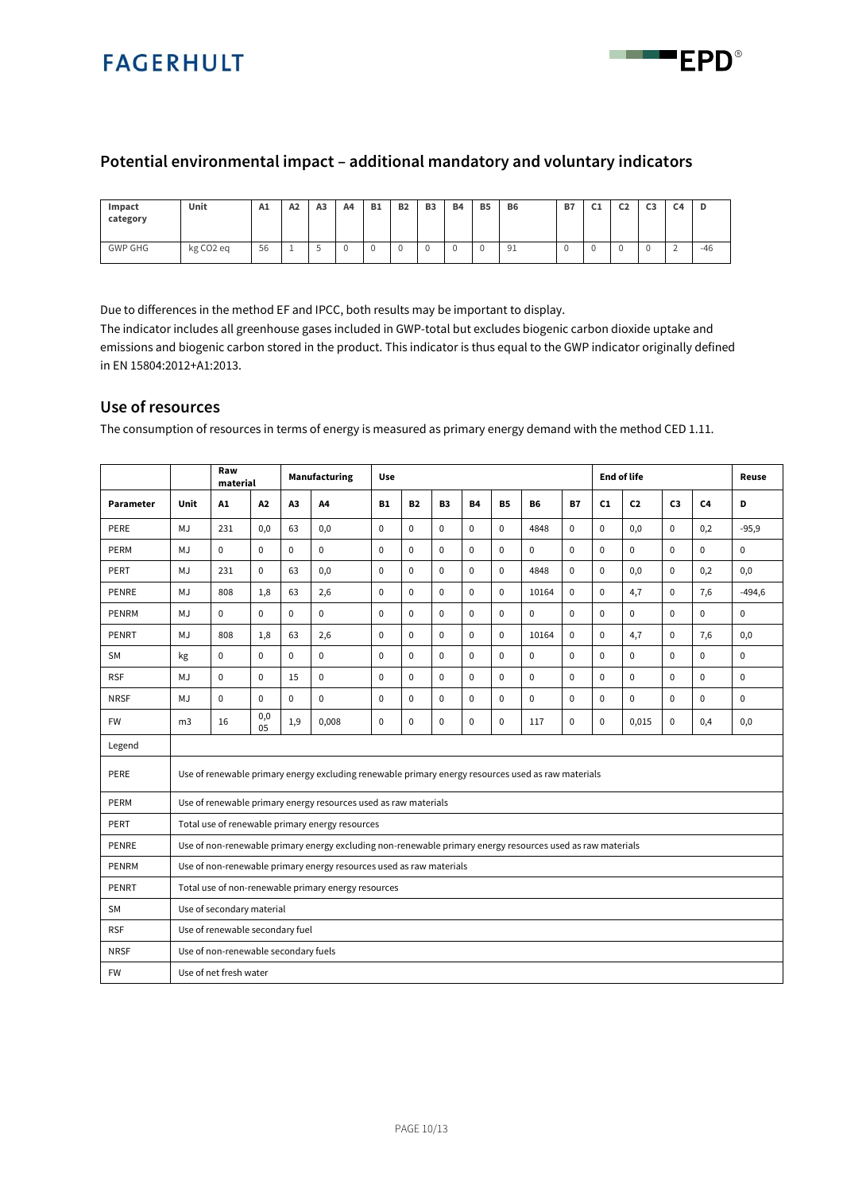

#### **Potential environmental impact – additional mandatory and voluntary indicators**

| Impact<br>category | Unit                  | A1 | A2 | A <sub>3</sub> | A4 | <b>B1</b> | <b>B2</b> | B <sub>3</sub> | <b>B4</b> | <b>B5</b> | <b>B6</b> | B7 | --<br>◡ | C <sub>2</sub> | $\sim$<br>ີ | C4                            | D     |
|--------------------|-----------------------|----|----|----------------|----|-----------|-----------|----------------|-----------|-----------|-----------|----|---------|----------------|-------------|-------------------------------|-------|
| <b>GWP GHG</b>     | kg CO <sub>2</sub> eq | 56 |    |                |    | . .       |           |                |           |           | Q'<br>ᆚ   |    | л.      |                |             | $\overline{\phantom{0}}$<br>∼ | $-46$ |

Due to differences in the method EF and IPCC, both results may be important to display.

The indicator includes all greenhouse gases included in GWP-total but excludes biogenic carbon dioxide uptake and emissions and biogenic carbon stored in the product. This indicator is thus equal to the GWP indicator originally defined in EN 15804:2012+A1:2013.

#### **Use of resources**

The consumption of resources in terms of energy is measured as primary energy demand with the method CED 1.11.

|             |                                 | Raw<br>material                      |             | Manufacturing<br>Use |                                                                                                            |             |             |             |             |             |             |              |                | <b>End of life</b> |                |                | Reuse       |
|-------------|---------------------------------|--------------------------------------|-------------|----------------------|------------------------------------------------------------------------------------------------------------|-------------|-------------|-------------|-------------|-------------|-------------|--------------|----------------|--------------------|----------------|----------------|-------------|
| Parameter   | Unit                            | A1                                   | A2          | A3                   | A4                                                                                                         | <b>B1</b>   | <b>B2</b>   | <b>B3</b>   | <b>B4</b>   | <b>B5</b>   | <b>B6</b>   | <b>B7</b>    | C1             | C <sub>2</sub>     | C <sub>3</sub> | C <sub>4</sub> | D           |
| PERE        | MJ                              | 231                                  | 0,0         | 63                   | 0,0                                                                                                        | $\mathbf 0$ | $\mathbf 0$ | $\mathbf 0$ | $\mathbf 0$ | $\mathbf 0$ | 4848        | $\mathbf 0$  | $\overline{0}$ | 0,0                | $\mathbf 0$    | 0,2            | $-95,9$     |
| PERM        | MJ                              | $\mathbf 0$                          | $\mathbf 0$ | $\mathbf 0$          | 0                                                                                                          | $\mathbf 0$ | $\mathbf 0$ | $\Omega$    | $\mathbf 0$ | $\mathbf 0$ | $\mathbf 0$ | $\mathbf{0}$ | $\Omega$       | $\mathbf 0$        | $\mathbf 0$    | $\mathbf 0$    | $\mathbf 0$ |
| PERT        | MJ                              | 231                                  | $\mathbf 0$ | 63                   | 0,0                                                                                                        | $\mathbf 0$ | $\mathbf 0$ | $\mathbf 0$ | $\pmb{0}$   | $\mathbf 0$ | 4848        | $\mathbf{0}$ | $\overline{0}$ | 0,0                | $\mathbf 0$    | 0,2            | 0,0         |
| PENRE       | MJ                              | 808                                  | 1,8         | 63                   | 2,6                                                                                                        | $\mathbf 0$ | $\mathbf 0$ | $\mathbf 0$ | $\mathbf 0$ | $\mathbf 0$ | 10164       | $\mathbf 0$  | $\Omega$       | 4,7                | $\mathbf 0$    | 7,6            | $-494,6$    |
| PENRM       | MJ                              | $\Omega$                             | $\Omega$    | $\Omega$             | $\mathbf 0$                                                                                                | $\Omega$    | $\Omega$    | $\Omega$    | $\Omega$    | $\mathbf 0$ | $\Omega$    | $\Omega$     | $\Omega$       | $\mathbf 0$        | $\Omega$       | $\Omega$       | $\mathbf 0$ |
| PENRT       | MJ                              | 808                                  | 1,8         | 63                   | 2,6                                                                                                        | $\mathbf 0$ | $\mathbf 0$ | $\mathbf 0$ | $\mathbf 0$ | $\mathbf 0$ | 10164       | $\mathbf 0$  | 0              | 4,7                | $\mathbf 0$    | 7,6            | 0,0         |
| <b>SM</b>   | kg                              | $\mathbf{0}$                         | $\Omega$    | $\Omega$             | $\mathbf 0$                                                                                                | $\mathbf 0$ | $\mathbf 0$ | $\Omega$    | $\mathbf 0$ | $\mathbf 0$ | $\mathbf 0$ | $\Omega$     | $\overline{0}$ | $\mathbf 0$        | $\theta$       | $\mathbf 0$    | $\mathbf 0$ |
| <b>RSF</b>  | MJ                              | $\Omega$                             | $\Omega$    | 15                   | $\mathbf 0$                                                                                                | $\Omega$    | $\mathbf 0$ | $\Omega$    | $\mathbf 0$ | $\mathbf 0$ | $\Omega$    | $\Omega$     | $\Omega$       | $\mathbf 0$        | $\theta$       | $\mathbf 0$    | $\mathbf 0$ |
| <b>NRSF</b> | MJ                              | $\mathbf 0$                          | $\Omega$    | $\mathbf 0$          | $\mathbf 0$                                                                                                | $\mathbf 0$ | $\mathbf 0$ | $\mathbf 0$ | $\mathbf 0$ | $\mathbf 0$ | $\mathbf 0$ | $\mathbf 0$  | $\overline{0}$ | $\pmb{0}$          | $\mathbf 0$    | $\mathbf 0$    | $\mathbf 0$ |
| <b>FW</b>   | m <sub>3</sub>                  | 16                                   | 0,0<br>05   | 1,9                  | 0,008                                                                                                      | $\mathbf 0$ | $\mathbf 0$ | $\Omega$    | $\mathbf 0$ | $\mathbf 0$ | 117         | $\Omega$     | $\Omega$       | 0,015              | $\Omega$       | 0,4            | 0,0         |
| Legend      |                                 |                                      |             |                      |                                                                                                            |             |             |             |             |             |             |              |                |                    |                |                |             |
| PERE        |                                 |                                      |             |                      | Use of renewable primary energy excluding renewable primary energy resources used as raw materials         |             |             |             |             |             |             |              |                |                    |                |                |             |
| PERM        |                                 |                                      |             |                      | Use of renewable primary energy resources used as raw materials                                            |             |             |             |             |             |             |              |                |                    |                |                |             |
| PERT        |                                 |                                      |             |                      | Total use of renewable primary energy resources                                                            |             |             |             |             |             |             |              |                |                    |                |                |             |
| PENRE       |                                 |                                      |             |                      | Use of non-renewable primary energy excluding non-renewable primary energy resources used as raw materials |             |             |             |             |             |             |              |                |                    |                |                |             |
| PENRM       |                                 |                                      |             |                      | Use of non-renewable primary energy resources used as raw materials                                        |             |             |             |             |             |             |              |                |                    |                |                |             |
| PENRT       |                                 |                                      |             |                      | Total use of non-renewable primary energy resources                                                        |             |             |             |             |             |             |              |                |                    |                |                |             |
| <b>SM</b>   | Use of secondary material       |                                      |             |                      |                                                                                                            |             |             |             |             |             |             |              |                |                    |                |                |             |
| <b>RSF</b>  | Use of renewable secondary fuel |                                      |             |                      |                                                                                                            |             |             |             |             |             |             |              |                |                    |                |                |             |
| <b>NRSF</b> |                                 | Use of non-renewable secondary fuels |             |                      |                                                                                                            |             |             |             |             |             |             |              |                |                    |                |                |             |
| <b>FW</b>   |                                 | Use of net fresh water               |             |                      |                                                                                                            |             |             |             |             |             |             |              |                |                    |                |                |             |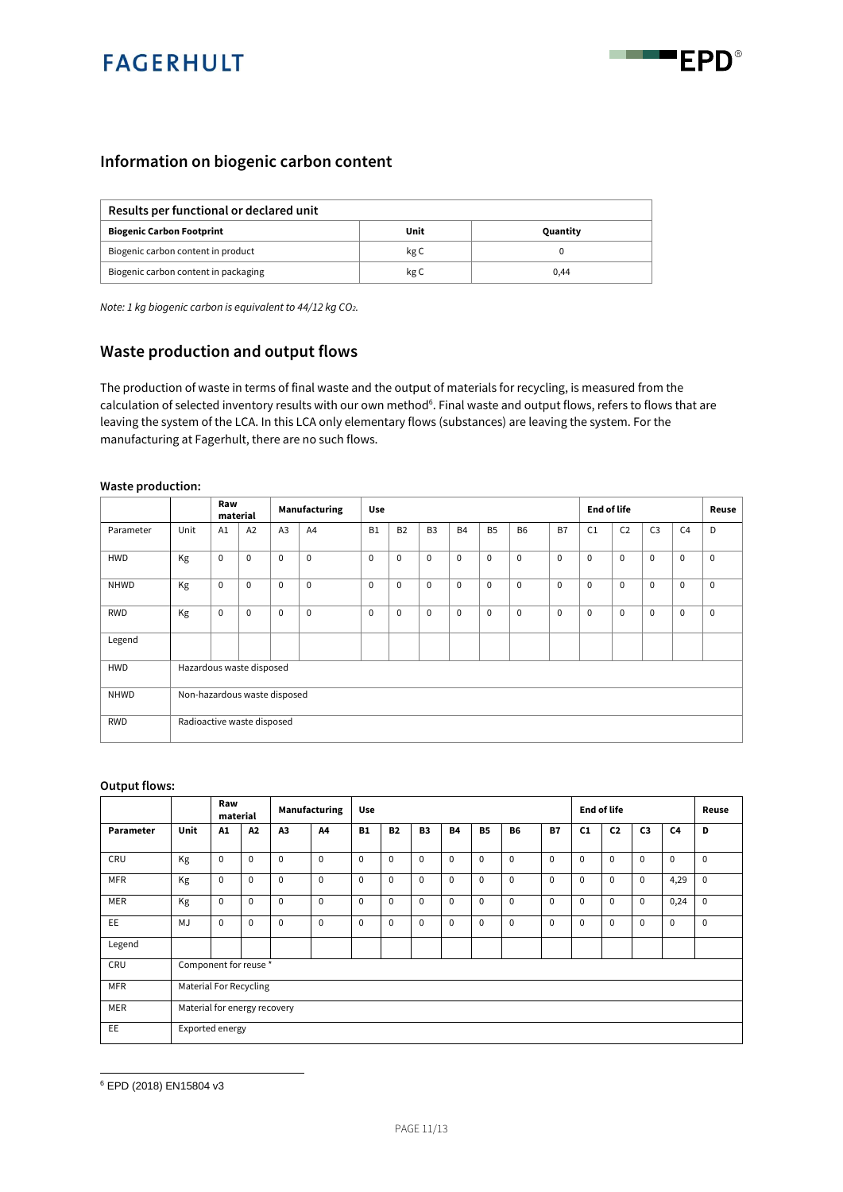



#### **Information on biogenic carbon content**

| Results per functional or declared unit |      |          |  |  |  |  |  |  |  |  |  |
|-----------------------------------------|------|----------|--|--|--|--|--|--|--|--|--|
| <b>Biogenic Carbon Footprint</b>        | Unit | Quantity |  |  |  |  |  |  |  |  |  |
| Biogenic carbon content in product      | kg C |          |  |  |  |  |  |  |  |  |  |
| Biogenic carbon content in packaging    | kg C | 0.44     |  |  |  |  |  |  |  |  |  |

*Note: 1 kg biogenic carbon is equivalent to 44/12 kg CO2.*

#### **Waste production and output flows**

The production of waste in terms of final waste and the output of materials for recycling, is measured from the calculation of selected inventory results with our own method<sup>6</sup>. Final waste and output flows, refers to flows that are leaving the system of the LCA. In this LCA only elementary flows (substances) are leaving the system. For the manufacturing at Fagerhult, there are no such flows.

#### **Waste production:**

|            |                          | Raw<br>material              |             | Manufacturing  |             | <b>Use</b>     |             |                |             |             | <b>End of life</b> |             |             |                | Reuse          |                |             |
|------------|--------------------------|------------------------------|-------------|----------------|-------------|----------------|-------------|----------------|-------------|-------------|--------------------|-------------|-------------|----------------|----------------|----------------|-------------|
| Parameter  | Unit                     | A1                           | A2          | A <sub>3</sub> | A4          | B <sub>1</sub> | <b>B2</b>   | B <sub>3</sub> | <b>B4</b>   | <b>B5</b>   | <b>B6</b>          | B7          | C1          | C <sub>2</sub> | C <sub>3</sub> | C <sub>4</sub> | D           |
| <b>HWD</b> | Kg                       | $\mathbf 0$                  | $\mathbf 0$ | $\mathbf{0}$   | $\mathbf 0$ | $\mathbf 0$    | $\mathbf 0$ | $\mathbf 0$    | $\mathbf 0$ | $\mathbf 0$ | $\mathbf 0$        | $\mathbf 0$ | $\Omega$    | $\mathbf 0$    | $\mathbf 0$    | $\mathbf 0$    | $\mathbf 0$ |
| NHWD       | Kg                       | $\mathbf 0$                  | $\mathbf 0$ | $\mathbf{0}$   | $\mathbf 0$ | $\mathbf 0$    | $\Omega$    | $\mathbf 0$    | $\mathbf 0$ | $\mathbf 0$ | $\mathbf 0$        | $\mathbf 0$ | $\Omega$    | $\mathbf 0$    | $\mathbf 0$    | $\mathbf 0$    | $\mathbf 0$ |
| <b>RWD</b> | Kg                       | $\mathbf 0$                  | $\mathbf 0$ | $\mathbf 0$    | $\mathbf 0$ | $\mathbf 0$    | $\mathbf 0$ | $\mathbf 0$    | $\mathbf 0$ | $\mathbf 0$ | $\mathbf 0$        | $\mathbf 0$ | $\mathbf 0$ | $\mathbf 0$    | $\mathbf 0$    | $\mathbf 0$    | $\mathbf 0$ |
| Legend     |                          |                              |             |                |             |                |             |                |             |             |                    |             |             |                |                |                |             |
| <b>HWD</b> | Hazardous waste disposed |                              |             |                |             |                |             |                |             |             |                    |             |             |                |                |                |             |
| NHWD       |                          | Non-hazardous waste disposed |             |                |             |                |             |                |             |             |                    |             |             |                |                |                |             |
| RWD        |                          | Radioactive waste disposed   |             |                |             |                |             |                |             |             |                    |             |             |                |                |                |             |

#### **Output flows:**

|            |                              | Raw<br>material               |             | Manufacturing |             | Use         |           |           |           |             | <b>End of life</b> |             |             |                | Reuse          |          |             |
|------------|------------------------------|-------------------------------|-------------|---------------|-------------|-------------|-----------|-----------|-----------|-------------|--------------------|-------------|-------------|----------------|----------------|----------|-------------|
| Parameter  | Unit                         | A1                            | A2          | A3            | Α4          | <b>B1</b>   | <b>B2</b> | <b>B3</b> | <b>B4</b> | <b>B5</b>   | <b>B6</b>          | <b>B7</b>   | C1          | C <sub>2</sub> | C <sub>3</sub> | C4       | D           |
| CRU        | Kg                           | $\mathbf 0$                   | $\Omega$    | $\Omega$      | $\mathbf 0$ | $\mathbf 0$ | $\Omega$  | $\Omega$  | $\Omega$  | $\mathbf 0$ | $\Omega$           | $\Omega$    | $\Omega$    | $\Omega$       | $\Omega$       | $\Omega$ | $\mathbf 0$ |
| <b>MFR</b> | Kg                           | $\mathbf 0$                   | $\mathbf 0$ | $\mathbf 0$   | $\mathbf 0$ | $\mathbf 0$ | $\Omega$  | $\Omega$  | $\Omega$  | $\mathbf 0$ | $\mathbf 0$        | $\mathbf 0$ | $\mathbf 0$ | $\mathbf 0$    | $\mathbf 0$    | 4,29     | $\mathbf 0$ |
| MER        | Kg                           | $\mathbf 0$                   | $\Omega$    | $\Omega$      | $\mathbf 0$ | $\mathbf 0$ | $\Omega$  | $\Omega$  | $\Omega$  | $\mathbf 0$ | $\Omega$           | $\Omega$    | $\mathbf 0$ | $\Omega$       | $\Omega$       | 0,24     | $\mathbf 0$ |
| EE         | MJ                           | $\mathbf 0$                   | $\Omega$    | $\Omega$      | $\Omega$    | $\mathbf 0$ | $\Omega$  | $\Omega$  | $\Omega$  | $\mathbf 0$ | $\Omega$           | $\Omega$    | $\mathbf 0$ | $\Omega$       | $\Omega$       | $\Omega$ | $\mathbf 0$ |
| Legend     |                              |                               |             |               |             |             |           |           |           |             |                    |             |             |                |                |          |             |
| CRU        | Component for reuse *        |                               |             |               |             |             |           |           |           |             |                    |             |             |                |                |          |             |
| <b>MFR</b> |                              | <b>Material For Recycling</b> |             |               |             |             |           |           |           |             |                    |             |             |                |                |          |             |
| MER        | Material for energy recovery |                               |             |               |             |             |           |           |           |             |                    |             |             |                |                |          |             |
| EE         | Exported energy              |                               |             |               |             |             |           |           |           |             |                    |             |             |                |                |          |             |

<sup>6</sup> EPD (2018) EN15804 v3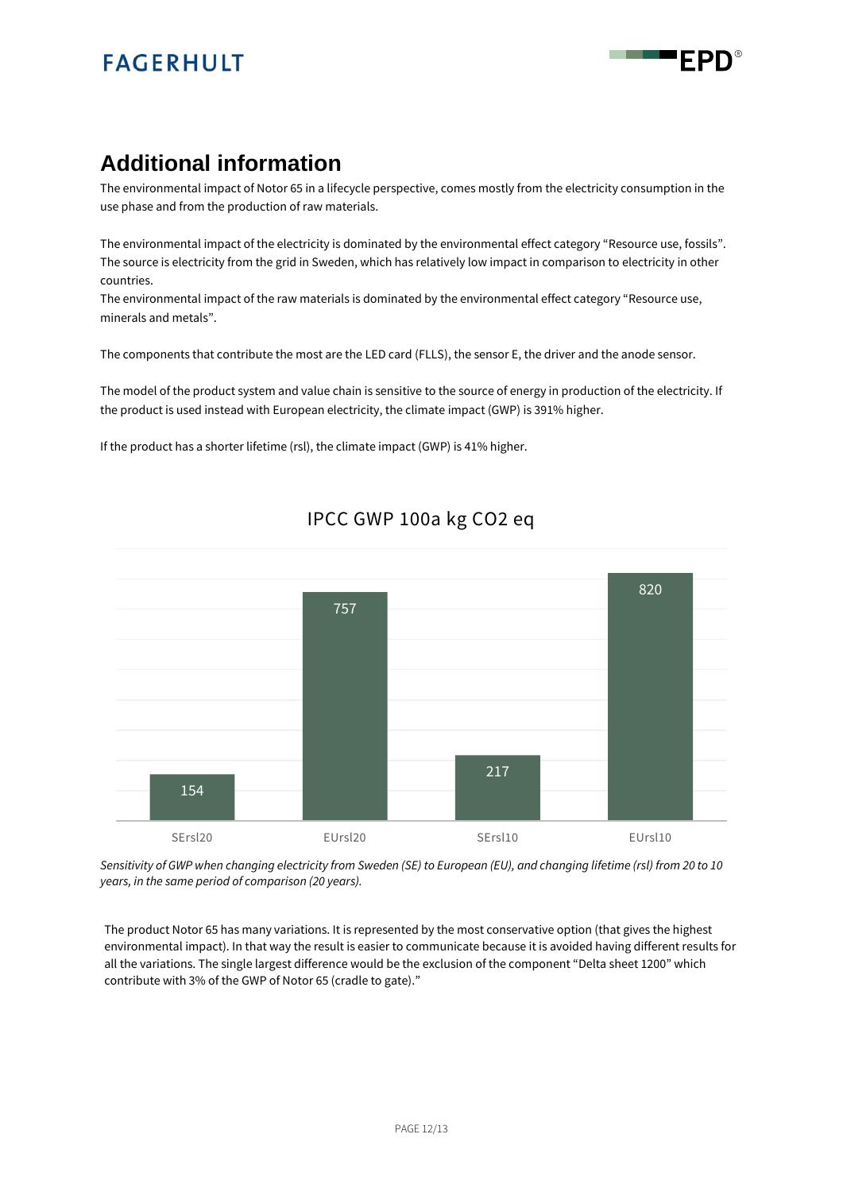

## **Additional information**

The environmental impact of Notor 65 in a lifecycle perspective, comes mostly from the electricity consumption in the use phase and from the production of raw materials.

The environmental impact of the electricity is dominated by the environmental effect category "Resource use, fossils". The source is electricity from the grid in Sweden, which has relatively low impact in comparison to electricity in other countries.

The environmental impact of the raw materials is dominated by the environmental effect category "Resource use, minerals and metals".

The components that contribute the most are the LED card (FLLS), the sensor E, the driver and the anode sensor.

The model of the product system and value chain is sensitive to the source of energy in production of the electricity. If the product is used instead with European electricity, the climate impact (GWP) is 391% higher.

If the product has a shorter lifetime (rsl), the climate impact (GWP) is 41% higher.



### IPCC GWP 100a kg CO2 eq

*Sensitivity of GWP when changing electricity from Sweden (SE) to European (EU), and changing lifetime (rsl) from 20 to 10 years, in the same period of comparison (20 years).*

The product Notor 65 has many variations. It is represented by the most conservative option (that gives the highest environmental impact). In that way the result is easier to communicate because it is avoided having different results for all the variations. The single largest difference would be the exclusion of the component "Delta sheet 1200" which contribute with 3% of the GWP of Notor 65 (cradle to gate)."